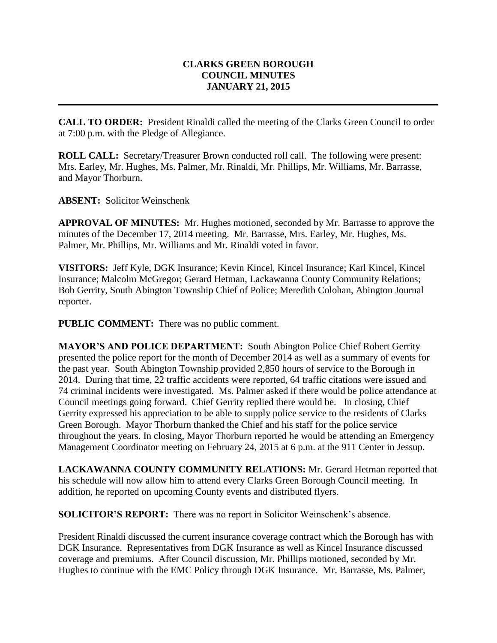## **CLARKS GREEN BOROUGH COUNCIL MINUTES JANUARY 21, 2015**

**CALL TO ORDER:** President Rinaldi called the meeting of the Clarks Green Council to order at 7:00 p.m. with the Pledge of Allegiance.

**ROLL CALL:** Secretary/Treasurer Brown conducted roll call. The following were present: Mrs. Earley, Mr. Hughes, Ms. Palmer, Mr. Rinaldi, Mr. Phillips, Mr. Williams, Mr. Barrasse, and Mayor Thorburn.

**ABSENT:** Solicitor Weinschenk

**APPROVAL OF MINUTES:** Mr. Hughes motioned, seconded by Mr. Barrasse to approve the minutes of the December 17, 2014 meeting. Mr. Barrasse, Mrs. Earley, Mr. Hughes, Ms. Palmer, Mr. Phillips, Mr. Williams and Mr. Rinaldi voted in favor.

**VISITORS:** Jeff Kyle, DGK Insurance; Kevin Kincel, Kincel Insurance; Karl Kincel, Kincel Insurance; Malcolm McGregor; Gerard Hetman, Lackawanna County Community Relations; Bob Gerrity, South Abington Township Chief of Police; Meredith Colohan, Abington Journal reporter.

**PUBLIC COMMENT:** There was no public comment.

**MAYOR'S AND POLICE DEPARTMENT:** South Abington Police Chief Robert Gerrity presented the police report for the month of December 2014 as well as a summary of events for the past year. South Abington Township provided 2,850 hours of service to the Borough in 2014. During that time, 22 traffic accidents were reported, 64 traffic citations were issued and 74 criminal incidents were investigated. Ms. Palmer asked if there would be police attendance at Council meetings going forward. Chief Gerrity replied there would be. In closing, Chief Gerrity expressed his appreciation to be able to supply police service to the residents of Clarks Green Borough. Mayor Thorburn thanked the Chief and his staff for the police service throughout the years. In closing, Mayor Thorburn reported he would be attending an Emergency Management Coordinator meeting on February 24, 2015 at 6 p.m. at the 911 Center in Jessup.

**LACKAWANNA COUNTY COMMUNITY RELATIONS:** Mr. Gerard Hetman reported that his schedule will now allow him to attend every Clarks Green Borough Council meeting. In addition, he reported on upcoming County events and distributed flyers.

**SOLICITOR'S REPORT:** There was no report in Solicitor Weinschenk's absence.

President Rinaldi discussed the current insurance coverage contract which the Borough has with DGK Insurance. Representatives from DGK Insurance as well as Kincel Insurance discussed coverage and premiums. After Council discussion, Mr. Phillips motioned, seconded by Mr. Hughes to continue with the EMC Policy through DGK Insurance. Mr. Barrasse, Ms. Palmer,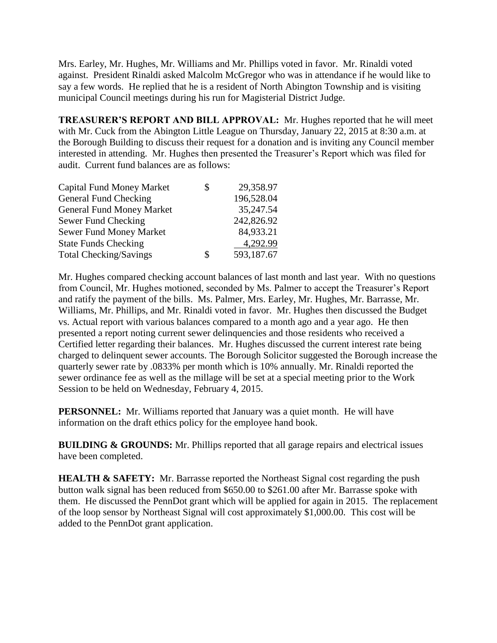Mrs. Earley, Mr. Hughes, Mr. Williams and Mr. Phillips voted in favor. Mr. Rinaldi voted against. President Rinaldi asked Malcolm McGregor who was in attendance if he would like to say a few words. He replied that he is a resident of North Abington Township and is visiting municipal Council meetings during his run for Magisterial District Judge.

**TREASURER'S REPORT AND BILL APPROVAL:** Mr. Hughes reported that he will meet with Mr. Cuck from the Abington Little League on Thursday, January 22, 2015 at 8:30 a.m. at the Borough Building to discuss their request for a donation and is inviting any Council member interested in attending. Mr. Hughes then presented the Treasurer's Report which was filed for audit. Current fund balances are as follows:

| <b>Capital Fund Money Market</b> | \$<br>29,358.97  |
|----------------------------------|------------------|
| General Fund Checking            | 196,528.04       |
| <b>General Fund Money Market</b> | 35,247.54        |
| Sewer Fund Checking              | 242,826.92       |
| Sewer Fund Money Market          | 84,933.21        |
| <b>State Funds Checking</b>      | 4,292.99         |
| <b>Total Checking/Savings</b>    | \$<br>593,187.67 |

Mr. Hughes compared checking account balances of last month and last year. With no questions from Council, Mr. Hughes motioned, seconded by Ms. Palmer to accept the Treasurer's Report and ratify the payment of the bills. Ms. Palmer, Mrs. Earley, Mr. Hughes, Mr. Barrasse, Mr. Williams, Mr. Phillips, and Mr. Rinaldi voted in favor. Mr. Hughes then discussed the Budget vs. Actual report with various balances compared to a month ago and a year ago. He then presented a report noting current sewer delinquencies and those residents who received a Certified letter regarding their balances. Mr. Hughes discussed the current interest rate being charged to delinquent sewer accounts. The Borough Solicitor suggested the Borough increase the quarterly sewer rate by .0833% per month which is 10% annually. Mr. Rinaldi reported the sewer ordinance fee as well as the millage will be set at a special meeting prior to the Work Session to be held on Wednesday, February 4, 2015.

**PERSONNEL:** Mr. Williams reported that January was a quiet month. He will have information on the draft ethics policy for the employee hand book.

**BUILDING & GROUNDS:** Mr. Phillips reported that all garage repairs and electrical issues have been completed.

**HEALTH & SAFETY:** Mr. Barrasse reported the Northeast Signal cost regarding the push button walk signal has been reduced from \$650.00 to \$261.00 after Mr. Barrasse spoke with them. He discussed the PennDot grant which will be applied for again in 2015. The replacement of the loop sensor by Northeast Signal will cost approximately \$1,000.00. This cost will be added to the PennDot grant application.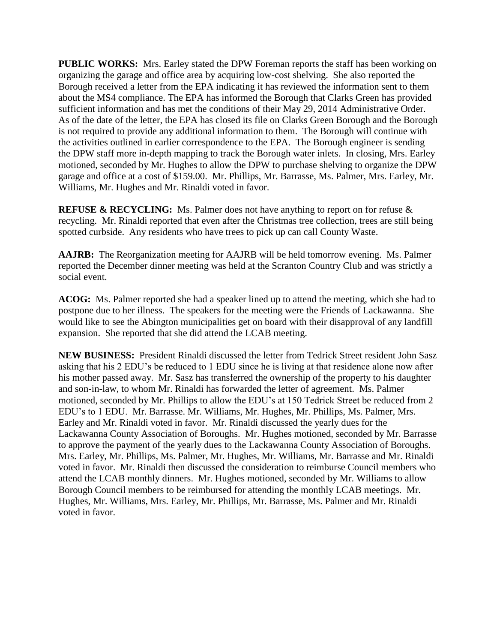**PUBLIC WORKS:** Mrs. Earley stated the DPW Foreman reports the staff has been working on organizing the garage and office area by acquiring low-cost shelving. She also reported the Borough received a letter from the EPA indicating it has reviewed the information sent to them about the MS4 compliance. The EPA has informed the Borough that Clarks Green has provided sufficient information and has met the conditions of their May 29, 2014 Administrative Order. As of the date of the letter, the EPA has closed its file on Clarks Green Borough and the Borough is not required to provide any additional information to them. The Borough will continue with the activities outlined in earlier correspondence to the EPA. The Borough engineer is sending the DPW staff more in-depth mapping to track the Borough water inlets. In closing, Mrs. Earley motioned, seconded by Mr. Hughes to allow the DPW to purchase shelving to organize the DPW garage and office at a cost of \$159.00. Mr. Phillips, Mr. Barrasse, Ms. Palmer, Mrs. Earley, Mr. Williams, Mr. Hughes and Mr. Rinaldi voted in favor.

**REFUSE & RECYCLING:** Ms. Palmer does not have anything to report on for refuse & recycling. Mr. Rinaldi reported that even after the Christmas tree collection, trees are still being spotted curbside. Any residents who have trees to pick up can call County Waste.

**AAJRB:** The Reorganization meeting for AAJRB will be held tomorrow evening. Ms. Palmer reported the December dinner meeting was held at the Scranton Country Club and was strictly a social event.

**ACOG:** Ms. Palmer reported she had a speaker lined up to attend the meeting, which she had to postpone due to her illness. The speakers for the meeting were the Friends of Lackawanna. She would like to see the Abington municipalities get on board with their disapproval of any landfill expansion. She reported that she did attend the LCAB meeting.

**NEW BUSINESS:** President Rinaldi discussed the letter from Tedrick Street resident John Sasz asking that his 2 EDU's be reduced to 1 EDU since he is living at that residence alone now after his mother passed away. Mr. Sasz has transferred the ownership of the property to his daughter and son-in-law, to whom Mr. Rinaldi has forwarded the letter of agreement. Ms. Palmer motioned, seconded by Mr. Phillips to allow the EDU's at 150 Tedrick Street be reduced from 2 EDU's to 1 EDU. Mr. Barrasse. Mr. Williams, Mr. Hughes, Mr. Phillips, Ms. Palmer, Mrs. Earley and Mr. Rinaldi voted in favor. Mr. Rinaldi discussed the yearly dues for the Lackawanna County Association of Boroughs. Mr. Hughes motioned, seconded by Mr. Barrasse to approve the payment of the yearly dues to the Lackawanna County Association of Boroughs. Mrs. Earley, Mr. Phillips, Ms. Palmer, Mr. Hughes, Mr. Williams, Mr. Barrasse and Mr. Rinaldi voted in favor. Mr. Rinaldi then discussed the consideration to reimburse Council members who attend the LCAB monthly dinners. Mr. Hughes motioned, seconded by Mr. Williams to allow Borough Council members to be reimbursed for attending the monthly LCAB meetings. Mr. Hughes, Mr. Williams, Mrs. Earley, Mr. Phillips, Mr. Barrasse, Ms. Palmer and Mr. Rinaldi voted in favor.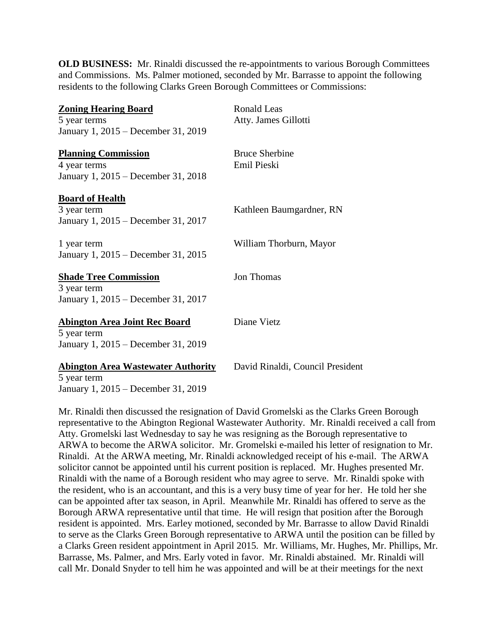**OLD BUSINESS:** Mr. Rinaldi discussed the re-appointments to various Borough Committees and Commissions. Ms. Palmer motioned, seconded by Mr. Barrasse to appoint the following residents to the following Clarks Green Borough Committees or Commissions:

| <b>Zoning Hearing Board</b><br>5 year terms                                                | <b>Ronald Leas</b><br>Atty. James Gillotti |
|--------------------------------------------------------------------------------------------|--------------------------------------------|
| January 1, 2015 – December 31, 2019                                                        |                                            |
| <b>Planning Commission</b><br>4 year terms<br>January 1, 2015 – December 31, 2018          | <b>Bruce Sherbine</b><br>Emil Pieski       |
| <b>Board of Health</b><br>3 year term<br>January 1, 2015 – December 31, 2017               | Kathleen Baumgardner, RN                   |
| 1 year term<br>January 1, 2015 – December 31, 2015                                         | William Thorburn, Mayor                    |
| <b>Shade Tree Commission</b><br>3 year term<br>January 1, 2015 – December 31, 2017         | Jon Thomas                                 |
| <b>Abington Area Joint Rec Board</b><br>5 year term<br>January 1, 2015 – December 31, 2019 | Diane Vietz                                |
| <b>Abington Area Wastewater Authority</b>                                                  | David Rinaldi, Council President           |

5 year term January 1, 2015 – December 31, 2019

Mr. Rinaldi then discussed the resignation of David Gromelski as the Clarks Green Borough representative to the Abington Regional Wastewater Authority. Mr. Rinaldi received a call from Atty. Gromelski last Wednesday to say he was resigning as the Borough representative to ARWA to become the ARWA solicitor. Mr. Gromelski e-mailed his letter of resignation to Mr. Rinaldi. At the ARWA meeting, Mr. Rinaldi acknowledged receipt of his e-mail. The ARWA solicitor cannot be appointed until his current position is replaced. Mr. Hughes presented Mr. Rinaldi with the name of a Borough resident who may agree to serve. Mr. Rinaldi spoke with the resident, who is an accountant, and this is a very busy time of year for her. He told her she can be appointed after tax season, in April. Meanwhile Mr. Rinaldi has offered to serve as the Borough ARWA representative until that time. He will resign that position after the Borough resident is appointed. Mrs. Earley motioned, seconded by Mr. Barrasse to allow David Rinaldi to serve as the Clarks Green Borough representative to ARWA until the position can be filled by a Clarks Green resident appointment in April 2015. Mr. Williams, Mr. Hughes, Mr. Phillips, Mr. Barrasse, Ms. Palmer, and Mrs. Early voted in favor. Mr. Rinaldi abstained. Mr. Rinaldi will call Mr. Donald Snyder to tell him he was appointed and will be at their meetings for the next